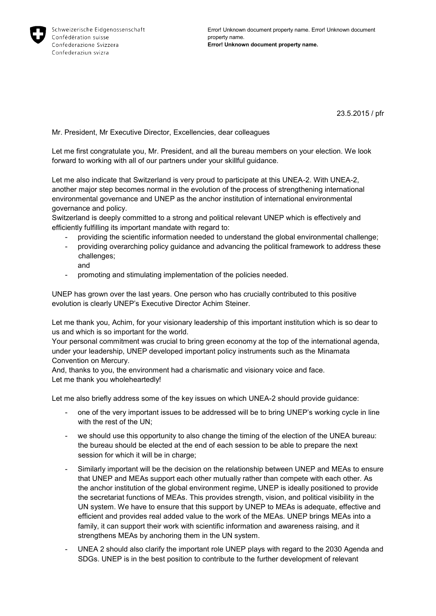

23.5.2015 / pfr

Mr. President, Mr Executive Director, Excellencies, dear colleagues

Let me first congratulate you, Mr. President, and all the bureau members on your election. We look forward to working with all of our partners under your skillful guidance.

Let me also indicate that Switzerland is very proud to participate at this UNEA-2. With UNEA-2, another major step becomes normal in the evolution of the process of strengthening international environmental governance and UNEP as the anchor institution of international environmental governance and policy.

Switzerland is deeply committed to a strong and political relevant UNEP which is effectively and efficiently fulfilling its important mandate with regard to:

- providing the scientific information needed to understand the global environmental challenge;
- providing overarching policy guidance and advancing the political framework to address these challenges; and
- promoting and stimulating implementation of the policies needed.

UNEP has grown over the last years. One person who has crucially contributed to this positive evolution is clearly UNEP's Executive Director Achim Steiner.

Let me thank you, Achim, for your visionary leadership of this important institution which is so dear to us and which is so important for the world.

Your personal commitment was crucial to bring green economy at the top of the international agenda, under your leadership, UNEP developed important policy instruments such as the Minamata Convention on Mercury.

And, thanks to you, the environment had a charismatic and visionary voice and face. Let me thank you wholeheartedly!

Let me also briefly address some of the key issues on which UNEA-2 should provide guidance:

- one of the very important issues to be addressed will be to bring UNEP's working cycle in line with the rest of the UN;
- we should use this opportunity to also change the timing of the election of the UNEA bureau: the bureau should be elected at the end of each session to be able to prepare the next session for which it will be in charge;
- Similarly important will be the decision on the relationship between UNEP and MEAs to ensure that UNEP and MEAs support each other mutually rather than compete with each other. As the anchor institution of the global environment regime, UNEP is ideally positioned to provide the secretariat functions of MEAs. This provides strength, vision, and political visibility in the UN system. We have to ensure that this support by UNEP to MEAs is adequate, effective and efficient and provides real added value to the work of the MEAs. UNEP brings MEAs into a family, it can support their work with scientific information and awareness raising, and it strengthens MEAs by anchoring them in the UN system.
- UNEA 2 should also clarify the important role UNEP plays with regard to the 2030 Agenda and SDGs. UNEP is in the best position to contribute to the further development of relevant